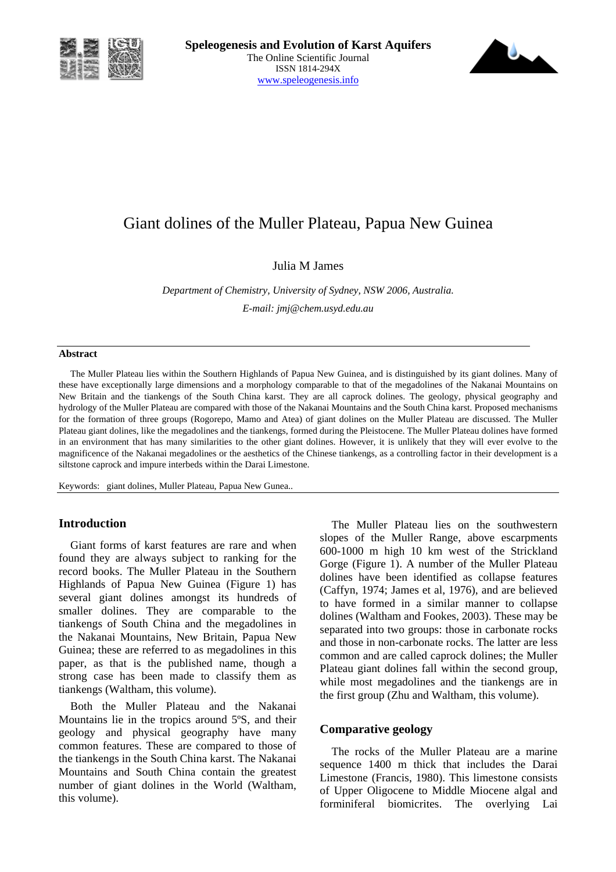



# Giant dolines of the Muller Plateau, Papua New Guinea

Julia M James

*Department of Chemistry, University of Sydney, NSW 2006, Australia. E-mail: jmj@chem.usyd.edu.au* 

#### **Abstract**

The Muller Plateau lies within the Southern Highlands of Papua New Guinea, and is distinguished by its giant dolines. Many of these have exceptionally large dimensions and a morphology comparable to that of the megadolines of the Nakanai Mountains on New Britain and the tiankengs of the South China karst. They are all caprock dolines. The geology, physical geography and hydrology of the Muller Plateau are compared with those of the Nakanai Mountains and the South China karst. Proposed mechanisms for the formation of three groups (Rogorepo, Mamo and Atea) of giant dolines on the Muller Plateau are discussed. The Muller Plateau giant dolines, like the megadolines and the tiankengs, formed during the Pleistocene. The Muller Plateau dolines have formed in an environment that has many similarities to the other giant dolines. However, it is unlikely that they will ever evolve to the magnificence of the Nakanai megadolines or the aesthetics of the Chinese tiankengs, as a controlling factor in their development is a siltstone caprock and impure interbeds within the Darai Limestone.

Keywords: giant dolines, Muller Plateau, Papua New Gunea..

#### **Introduction**

Giant forms of karst features are rare and when found they are always subject to ranking for the record books. The Muller Plateau in the Southern Highlands of Papua New Guinea (Figure 1) has several giant dolines amongst its hundreds of smaller dolines. They are comparable to the tiankengs of South China and the megadolines in the Nakanai Mountains, New Britain, Papua New Guinea; these are referred to as megadolines in this paper, as that is the published name, though a strong case has been made to classify them as tiankengs (Waltham, this volume).

Both the Muller Plateau and the Nakanai Mountains lie in the tropics around 5ºS, and their geology and physical geography have many common features. These are compared to those of the tiankengs in the South China karst. The Nakanai Mountains and South China contain the greatest number of giant dolines in the World (Waltham, this volume).

The Muller Plateau lies on the southwestern slopes of the Muller Range, above escarpments 600-1000 m high 10 km west of the Strickland Gorge (Figure 1). A number of the Muller Plateau dolines have been identified as collapse features (Caffyn, 1974; James et al, 1976), and are believed to have formed in a similar manner to collapse dolines (Waltham and Fookes, 2003). These may be separated into two groups: those in carbonate rocks and those in non-carbonate rocks. The latter are less common and are called caprock dolines; the Muller Plateau giant dolines fall within the second group, while most megadolines and the tiankengs are in the first group (Zhu and Waltham, this volume).

## **Comparative geology**

The rocks of the Muller Plateau are a marine sequence 1400 m thick that includes the Darai Limestone (Francis, 1980). This limestone consists of Upper Oligocene to Middle Miocene algal and forminiferal biomicrites. The overlying Lai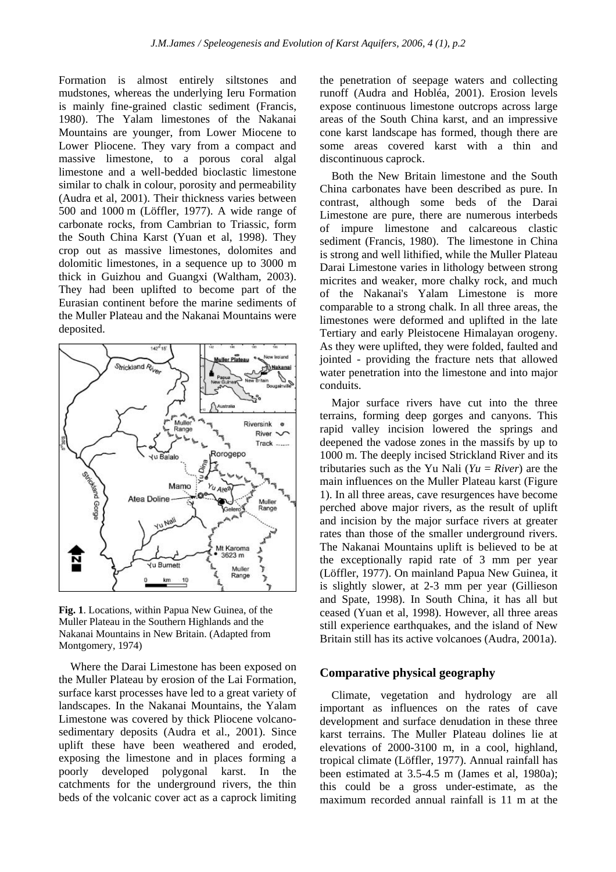Formation is almost entirely siltstones and mudstones, whereas the underlying Ieru Formation is mainly fine-grained clastic sediment (Francis, 1980). The Yalam limestones of the Nakanai Mountains are younger, from Lower Miocene to Lower Pliocene. They vary from a compact and massive limestone, to a porous coral algal limestone and a well-bedded bioclastic limestone similar to chalk in colour, porosity and permeability (Audra et al, 2001). Their thickness varies between 500 and 1000 m (Löffler, 1977). A wide range of carbonate rocks, from Cambrian to Triassic, form the South China Karst (Yuan et al, 1998). They crop out as massive limestones, dolomites and dolomitic limestones, in a sequence up to 3000 m thick in Guizhou and Guangxi (Waltham, 2003). They had been uplifted to become part of the Eurasian continent before the marine sediments of the Muller Plateau and the Nakanai Mountains were deposited.



**Fig. 1**. Locations, within Papua New Guinea, of the Muller Plateau in the Southern Highlands and the Nakanai Mountains in New Britain. (Adapted from Montgomery, 1974)

Where the Darai Limestone has been exposed on the Muller Plateau by erosion of the Lai Formation, surface karst processes have led to a great variety of landscapes. In the Nakanai Mountains, the Yalam Limestone was covered by thick Pliocene volcanosedimentary deposits (Audra et al., 2001). Since uplift these have been weathered and eroded, exposing the limestone and in places forming a poorly developed polygonal karst. In the catchments for the underground rivers, the thin beds of the volcanic cover act as a caprock limiting

the penetration of seepage waters and collecting runoff (Audra and Hobléa, 2001). Erosion levels expose continuous limestone outcrops across large areas of the South China karst, and an impressive cone karst landscape has formed, though there are some areas covered karst with a thin and discontinuous caprock.

Both the New Britain limestone and the South China carbonates have been described as pure. In contrast, although some beds of the Darai Limestone are pure, there are numerous interbeds of impure limestone and calcareous clastic sediment (Francis, 1980). The limestone in China is strong and well lithified, while the Muller Plateau Darai Limestone varies in lithology between strong micrites and weaker, more chalky rock, and much of the Nakanai's Yalam Limestone is more comparable to a strong chalk. In all three areas, the limestones were deformed and uplifted in the late Tertiary and early Pleistocene Himalayan orogeny. As they were uplifted, they were folded, faulted and jointed - providing the fracture nets that allowed water penetration into the limestone and into major conduits.

Major surface rivers have cut into the three terrains, forming deep gorges and canyons. This rapid valley incision lowered the springs and deepened the vadose zones in the massifs by up to 1000 m. The deeply incised Strickland River and its tributaries such as the Yu Nali ( $Yu = River$ ) are the main influences on the Muller Plateau karst (Figure 1). In all three areas, cave resurgences have become perched above major rivers, as the result of uplift and incision by the major surface rivers at greater rates than those of the smaller underground rivers. The Nakanai Mountains uplift is believed to be at the exceptionally rapid rate of 3 mm per year (Löffler, 1977). On mainland Papua New Guinea, it is slightly slower, at 2-3 mm per year (Gillieson and Spate, 1998). In South China, it has all but ceased (Yuan et al, 1998). However, all three areas still experience earthquakes, and the island of New Britain still has its active volcanoes (Audra, 2001a).

#### **Comparative physical geography**

Climate, vegetation and hydrology are all important as influences on the rates of cave development and surface denudation in these three karst terrains. The Muller Plateau dolines lie at elevations of 2000-3100 m, in a cool, highland, tropical climate (Löffler, 1977). Annual rainfall has been estimated at 3.5-4.5 m (James et al, 1980a); this could be a gross under-estimate, as the maximum recorded annual rainfall is 11 m at the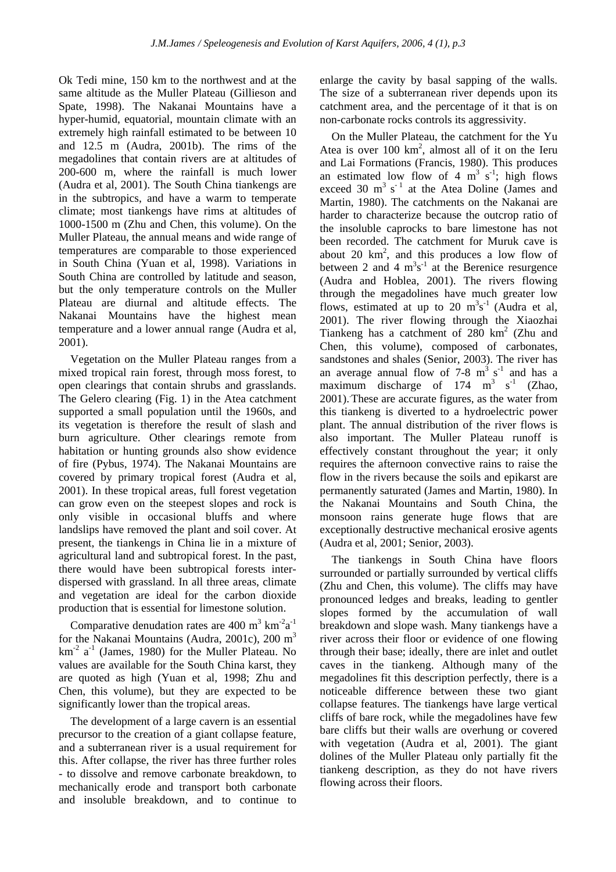Ok Tedi mine, 150 km to the northwest and at the same altitude as the Muller Plateau (Gillieson and Spate, 1998). The Nakanai Mountains have a hyper-humid, equatorial, mountain climate with an extremely high rainfall estimated to be between 10 and 12.5 m (Audra, 2001b). The rims of the megadolines that contain rivers are at altitudes of 200-600 m, where the rainfall is much lower (Audra et al, 2001). The South China tiankengs are in the subtropics, and have a warm to temperate climate; most tiankengs have rims at altitudes of 1000-1500 m (Zhu and Chen, this volume). On the Muller Plateau, the annual means and wide range of temperatures are comparable to those experienced in South China (Yuan et al, 1998). Variations in South China are controlled by latitude and season, but the only temperature controls on the Muller Plateau are diurnal and altitude effects. The Nakanai Mountains have the highest mean temperature and a lower annual range (Audra et al, 2001).

Vegetation on the Muller Plateau ranges from a mixed tropical rain forest, through moss forest, to open clearings that contain shrubs and grasslands. The Gelero clearing (Fig. 1) in the Atea catchment supported a small population until the 1960s, and its vegetation is therefore the result of slash and burn agriculture. Other clearings remote from habitation or hunting grounds also show evidence of fire (Pybus, 1974). The Nakanai Mountains are covered by primary tropical forest (Audra et al, 2001). In these tropical areas, full forest vegetation can grow even on the steepest slopes and rock is only visible in occasional bluffs and where landslips have removed the plant and soil cover. At present, the tiankengs in China lie in a mixture of agricultural land and subtropical forest. In the past, there would have been subtropical forests interdispersed with grassland. In all three areas, climate and vegetation are ideal for the carbon dioxide production that is essential for limestone solution.

Comparative denudation rates are  $400 \text{ m}^3 \text{ km}^{-2} \text{a}^{-1}$ for the Nakanai Mountains (Audra, 2001c), 200 m<sup>3</sup>  $km<sup>-2</sup> a<sup>-1</sup>$  (James, 1980) for the Muller Plateau. No values are available for the South China karst, they are quoted as high (Yuan et al, 1998; Zhu and Chen, this volume), but they are expected to be significantly lower than the tropical areas.

The development of a large cavern is an essential precursor to the creation of a giant collapse feature, and a subterranean river is a usual requirement for this. After collapse, the river has three further roles - to dissolve and remove carbonate breakdown, to mechanically erode and transport both carbonate and insoluble breakdown, and to continue to enlarge the cavity by basal sapping of the walls. The size of a subterranean river depends upon its catchment area, and the percentage of it that is on non-carbonate rocks controls its aggressivity.

On the Muller Plateau, the catchment for the Yu Atea is over  $100 \text{ km}^2$ , almost all of it on the Ieru and Lai Formations (Francis, 1980). This produces an estimated low flow of 4  $m^3$  s<sup>-1</sup>; high flows exceed 30  $m^3$  s<sup>-1</sup> at the Atea Doline (James and Martin, 1980). The catchments on the Nakanai are harder to characterize because the outcrop ratio of the insoluble caprocks to bare limestone has not been recorded. The catchment for Muruk cave is about 20  $km^2$ , and this produces a low flow of between 2 and 4  $m^3s^{-1}$  at the Berenice resurgence (Audra and Hoblea, 2001). The rivers flowing through the megadolines have much greater low flows, estimated at up to 20  $m^3s^{-1}$  (Audra et al, 2001). The river flowing through the Xiaozhai Tiankeng has a catchment of  $280 \text{ km}^2$  (Zhu and Chen, this volume), composed of carbonates, sandstones and shales (Senior, 2003). The river has an average annual flow of  $7-8 \text{ m}^3 \text{ s}^{-1}$  and has a maximum discharge of  $174 \text{ m}^3 \text{ s}^{-1}$  (Zhao, 2001).. These are accurate figures, as the water from this tiankeng is diverted to a hydroelectric power plant. The annual distribution of the river flows is also important. The Muller Plateau runoff is effectively constant throughout the year; it only requires the afternoon convective rains to raise the flow in the rivers because the soils and epikarst are permanently saturated (James and Martin, 1980). In the Nakanai Mountains and South China, the monsoon rains generate huge flows that are exceptionally destructive mechanical erosive agents (Audra et al, 2001; Senior, 2003).

The tiankengs in South China have floors surrounded or partially surrounded by vertical cliffs (Zhu and Chen, this volume). The cliffs may have pronounced ledges and breaks, leading to gentler slopes formed by the accumulation of wall breakdown and slope wash. Many tiankengs have a river across their floor or evidence of one flowing through their base; ideally, there are inlet and outlet caves in the tiankeng. Although many of the megadolines fit this description perfectly, there is a noticeable difference between these two giant collapse features. The tiankengs have large vertical cliffs of bare rock, while the megadolines have few bare cliffs but their walls are overhung or covered with vegetation (Audra et al. 2001). The giant dolines of the Muller Plateau only partially fit the tiankeng description, as they do not have rivers flowing across their floors.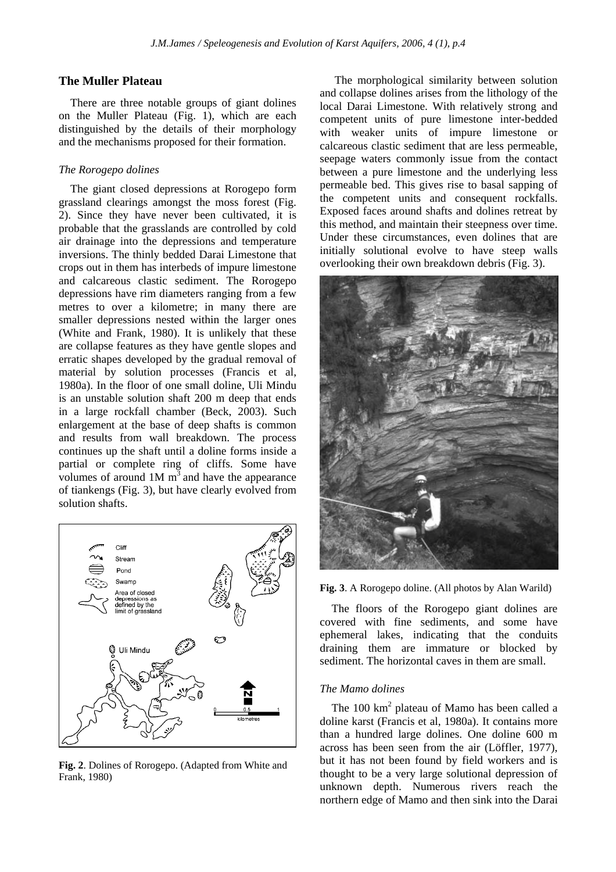## **The Muller Plateau**

There are three notable groups of giant dolines on the Muller Plateau (Fig. 1), which are each distinguished by the details of their morphology and the mechanisms proposed for their formation.

#### *The Rorogepo dolines*

The giant closed depressions at Rorogepo form grassland clearings amongst the moss forest (Fig. 2). Since they have never been cultivated, it is probable that the grasslands are controlled by cold air drainage into the depressions and temperature inversions. The thinly bedded Darai Limestone that crops out in them has interbeds of impure limestone and calcareous clastic sediment. The Rorogepo depressions have rim diameters ranging from a few metres to over a kilometre; in many there are smaller depressions nested within the larger ones (White and Frank, 1980). It is unlikely that these are collapse features as they have gentle slopes and erratic shapes developed by the gradual removal of material by solution processes (Francis et al, 1980a). In the floor of one small doline, Uli Mindu is an unstable solution shaft 200 m deep that ends in a large rockfall chamber (Beck, 2003). Such enlargement at the base of deep shafts is common and results from wall breakdown. The process continues up the shaft until a doline forms inside a partial or complete ring of cliffs. Some have volumes of around  $1M \text{ m}^3$  and have the appearance of tiankengs (Fig. 3), but have clearly evolved from solution shafts.



**Fig. 2**. Dolines of Rorogepo. (Adapted from White and Frank, 1980)

The morphological similarity between solution and collapse dolines arises from the lithology of the local Darai Limestone. With relatively strong and competent units of pure limestone inter-bedded with weaker units of impure limestone or calcareous clastic sediment that are less permeable, seepage waters commonly issue from the contact between a pure limestone and the underlying less permeable bed. This gives rise to basal sapping of the competent units and consequent rockfalls. Exposed faces around shafts and dolines retreat by this method, and maintain their steepness over time. Under these circumstances, even dolines that are initially solutional evolve to have steep walls overlooking their own breakdown debris (Fig. 3).



**Fig. 3**. A Rorogepo doline. (All photos by Alan Warild)

The floors of the Rorogepo giant dolines are covered with fine sediments, and some have ephemeral lakes, indicating that the conduits draining them are immature or blocked by sediment. The horizontal caves in them are small.

#### *The Mamo dolines*

The  $100 \text{ km}^2$  plateau of Mamo has been called a doline karst (Francis et al, 1980a). It contains more than a hundred large dolines. One doline 600 m across has been seen from the air (Löffler, 1977), but it has not been found by field workers and is thought to be a very large solutional depression of unknown depth. Numerous rivers reach the northern edge of Mamo and then sink into the Darai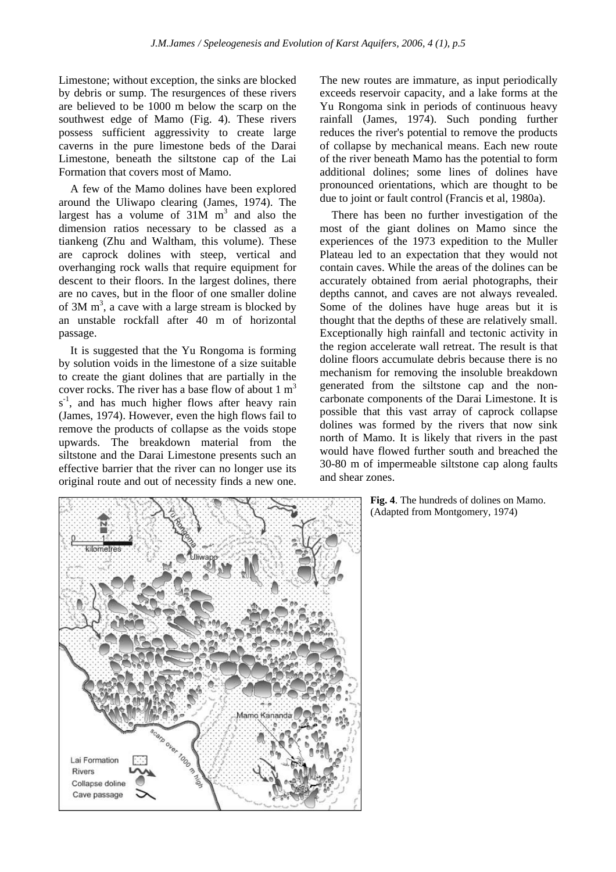Limestone; without exception, the sinks are blocked by debris or sump. The resurgences of these rivers are believed to be 1000 m below the scarp on the southwest edge of Mamo (Fig. 4). These rivers possess sufficient aggressivity to create large caverns in the pure limestone beds of the Darai Limestone, beneath the siltstone cap of the Lai Formation that covers most of Mamo.

A few of the Mamo dolines have been explored around the Uliwapo clearing (James, 1974). The largest has a volume of  $31M$  m<sup>3</sup> and also the dimension ratios necessary to be classed as a tiankeng (Zhu and Waltham, this volume). These are caprock dolines with steep, vertical and overhanging rock walls that require equipment for descent to their floors. In the largest dolines, there are no caves, but in the floor of one smaller doline of  $3M \text{ m}^3$ , a cave with a large stream is blocked by an unstable rockfall after 40 m of horizontal passage.

It is suggested that the Yu Rongoma is forming by solution voids in the limestone of a size suitable to create the giant dolines that are partially in the cover rocks. The river has a base flow of about  $1 \text{ m}^3$ s<sup>-1</sup>, and has much higher flows after heavy rain (James, 1974). However, even the high flows fail to remove the products of collapse as the voids stope upwards. The breakdown material from the siltstone and the Darai Limestone presents such an effective barrier that the river can no longer use its original route and out of necessity finds a new one.



The new routes are immature, as input periodically exceeds reservoir capacity, and a lake forms at the Yu Rongoma sink in periods of continuous heavy rainfall (James, 1974). Such ponding further reduces the river's potential to remove the products of collapse by mechanical means. Each new route of the river beneath Mamo has the potential to form additional dolines; some lines of dolines have pronounced orientations, which are thought to be due to joint or fault control (Francis et al, 1980a).

There has been no further investigation of the most of the giant dolines on Mamo since the experiences of the 1973 expedition to the Muller Plateau led to an expectation that they would not contain caves. While the areas of the dolines can be accurately obtained from aerial photographs, their depths cannot, and caves are not always revealed. Some of the dolines have huge areas but it is thought that the depths of these are relatively small. Exceptionally high rainfall and tectonic activity in the region accelerate wall retreat. The result is that doline floors accumulate debris because there is no mechanism for removing the insoluble breakdown generated from the siltstone cap and the noncarbonate components of the Darai Limestone. It is possible that this vast array of caprock collapse dolines was formed by the rivers that now sink north of Mamo. It is likely that rivers in the past would have flowed further south and breached the 30-80 m of impermeable siltstone cap along faults and shear zones.

> **Fig. 4**. The hundreds of dolines on Mamo. (Adapted from Montgomery, 1974)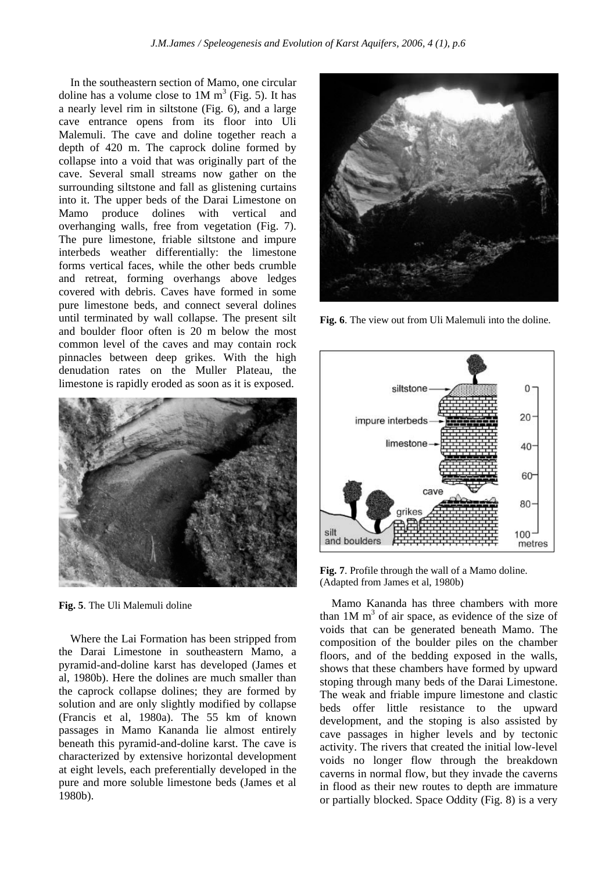In the southeastern section of Mamo, one circular doline has a volume close to  $1M \text{ m}^3$  (Fig. 5). It has a nearly level rim in siltstone (Fig. 6), and a large cave entrance opens from its floor into Uli Malemuli. The cave and doline together reach a depth of 420 m. The caprock doline formed by collapse into a void that was originally part of the cave. Several small streams now gather on the surrounding siltstone and fall as glistening curtains into it. The upper beds of the Darai Limestone on Mamo produce dolines with vertical and overhanging walls, free from vegetation (Fig. 7). The pure limestone, friable siltstone and impure interbeds weather differentially: the limestone forms vertical faces, while the other beds crumble and retreat, forming overhangs above ledges covered with debris. Caves have formed in some pure limestone beds, and connect several dolines until terminated by wall collapse. The present silt and boulder floor often is 20 m below the most common level of the caves and may contain rock pinnacles between deep grikes. With the high denudation rates on the Muller Plateau, the limestone is rapidly eroded as soon as it is exposed.



**Fig. 5**. The Uli Malemuli doline

Where the Lai Formation has been stripped from the Darai Limestone in southeastern Mamo, a pyramid-and-doline karst has developed (James et al, 1980b). Here the dolines are much smaller than the caprock collapse dolines; they are formed by solution and are only slightly modified by collapse (Francis et al, 1980a). The 55 km of known passages in Mamo Kananda lie almost entirely beneath this pyramid-and-doline karst. The cave is characterized by extensive horizontal development at eight levels, each preferentially developed in the pure and more soluble limestone beds (James et al 1980b).



**Fig. 6**. The view out from Uli Malemuli into the doline.



**Fig. 7**. Profile through the wall of a Mamo doline. (Adapted from James et al, 1980b)

Mamo Kananda has three chambers with more than  $1M \text{ m}^3$  of air space, as evidence of the size of voids that can be generated beneath Mamo. The composition of the boulder piles on the chamber floors, and of the bedding exposed in the walls, shows that these chambers have formed by upward stoping through many beds of the Darai Limestone. The weak and friable impure limestone and clastic beds offer little resistance to the upward development, and the stoping is also assisted by cave passages in higher levels and by tectonic activity. The rivers that created the initial low-level voids no longer flow through the breakdown caverns in normal flow, but they invade the caverns in flood as their new routes to depth are immature or partially blocked. Space Oddity (Fig. 8) is a very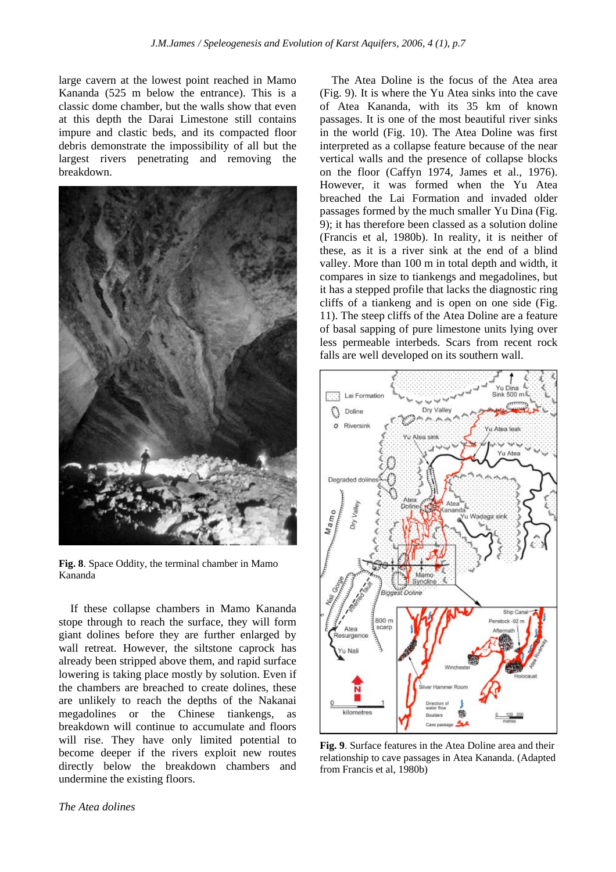large cavern at the lowest point reached in Mamo Kananda (525 m below the entrance). This is a classic dome chamber, but the walls show that even at this depth the Darai Limestone still contains impure and clastic beds, and its compacted floor debris demonstrate the impossibility of all but the largest rivers penetrating and removing the breakdown.



**Fig. 8**. Space Oddity, the terminal chamber in Mamo Kananda

If these collapse chambers in Mamo Kananda stope through to reach the surface, they will form giant dolines before they are further enlarged by wall retreat. However, the siltstone caprock has already been stripped above them, and rapid surface lowering is taking place mostly by solution. Even if the chambers are breached to create dolines, these are unlikely to reach the depths of the Nakanai megadolines or the Chinese tiankengs, as breakdown will continue to accumulate and floors will rise. They have only limited potential to become deeper if the rivers exploit new routes directly below the breakdown chambers and undermine the existing floors.

The Atea Doline is the focus of the Atea area (Fig. 9). It is where the Yu Atea sinks into the cave of Atea Kananda, with its 35 km of known passages. It is one of the most beautiful river sinks in the world (Fig. 10). The Atea Doline was first interpreted as a collapse feature because of the near vertical walls and the presence of collapse blocks on the floor (Caffyn 1974, James et al., 1976). However, it was formed when the Yu Atea breached the Lai Formation and invaded older passages formed by the much smaller Yu Dina (Fig. 9); it has therefore been classed as a solution doline (Francis et al, 1980b). In reality, it is neither of these, as it is a river sink at the end of a blind valley. More than 100 m in total depth and width, it compares in size to tiankengs and megadolines, but it has a stepped profile that lacks the diagnostic ring cliffs of a tiankeng and is open on one side (Fig. 11). The steep cliffs of the Atea Doline are a feature of basal sapping of pure limestone units lying over less permeable interbeds. Scars from recent rock falls are well developed on its southern wall.



**Fig. 9**. Surface features in the Atea Doline area and their relationship to cave passages in Atea Kananda. (Adapted from Francis et al, 1980b)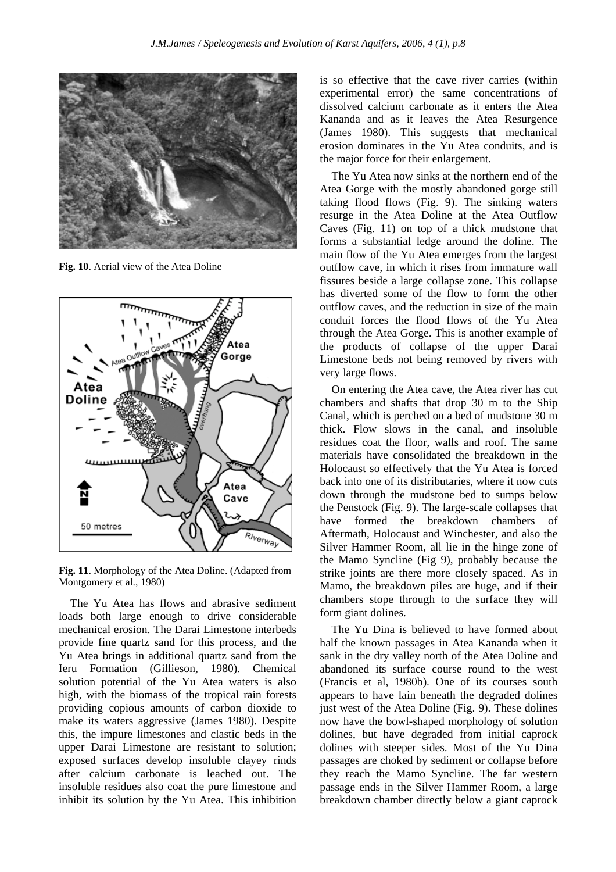

**Fig. 10**. Aerial view of the Atea Doline



**Fig. 11**. Morphology of the Atea Doline. (Adapted from Montgomery et al., 1980)

The Yu Atea has flows and abrasive sediment loads both large enough to drive considerable mechanical erosion. The Darai Limestone interbeds provide fine quartz sand for this process, and the Yu Atea brings in additional quartz sand from the Ieru Formation (Gillieson, 1980). Chemical solution potential of the Yu Atea waters is also high, with the biomass of the tropical rain forests providing copious amounts of carbon dioxide to make its waters aggressive (James 1980). Despite this, the impure limestones and clastic beds in the upper Darai Limestone are resistant to solution; exposed surfaces develop insoluble clayey rinds after calcium carbonate is leached out. The insoluble residues also coat the pure limestone and inhibit its solution by the Yu Atea. This inhibition

is so effective that the cave river carries (within experimental error) the same concentrations of dissolved calcium carbonate as it enters the Atea Kananda and as it leaves the Atea Resurgence (James 1980). This suggests that mechanical erosion dominates in the Yu Atea conduits, and is the major force for their enlargement.

The Yu Atea now sinks at the northern end of the Atea Gorge with the mostly abandoned gorge still taking flood flows (Fig. 9). The sinking waters resurge in the Atea Doline at the Atea Outflow Caves (Fig. 11) on top of a thick mudstone that forms a substantial ledge around the doline. The main flow of the Yu Atea emerges from the largest outflow cave, in which it rises from immature wall fissures beside a large collapse zone. This collapse has diverted some of the flow to form the other outflow caves, and the reduction in size of the main conduit forces the flood flows of the Yu Atea through the Atea Gorge. This is another example of the products of collapse of the upper Darai Limestone beds not being removed by rivers with very large flows.

On entering the Atea cave, the Atea river has cut chambers and shafts that drop 30 m to the Ship Canal, which is perched on a bed of mudstone 30 m thick. Flow slows in the canal, and insoluble residues coat the floor, walls and roof. The same materials have consolidated the breakdown in the Holocaust so effectively that the Yu Atea is forced back into one of its distributaries, where it now cuts down through the mudstone bed to sumps below the Penstock (Fig. 9). The large-scale collapses that have formed the breakdown chambers of Aftermath, Holocaust and Winchester, and also the Silver Hammer Room, all lie in the hinge zone of the Mamo Syncline (Fig 9), probably because the strike joints are there more closely spaced. As in Mamo, the breakdown piles are huge, and if their chambers stope through to the surface they will form giant dolines.

The Yu Dina is believed to have formed about half the known passages in Atea Kananda when it sank in the dry valley north of the Atea Doline and abandoned its surface course round to the west (Francis et al, 1980b). One of its courses south appears to have lain beneath the degraded dolines just west of the Atea Doline (Fig. 9). These dolines now have the bowl-shaped morphology of solution dolines, but have degraded from initial caprock dolines with steeper sides. Most of the Yu Dina passages are choked by sediment or collapse before they reach the Mamo Syncline. The far western passage ends in the Silver Hammer Room, a large breakdown chamber directly below a giant caprock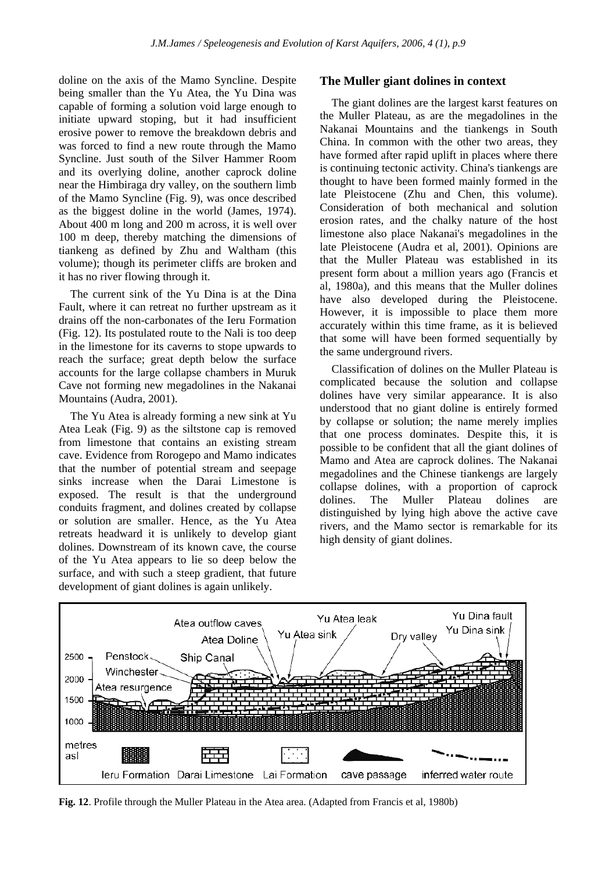doline on the axis of the Mamo Syncline. Despite being smaller than the Yu Atea, the Yu Dina was capable of forming a solution void large enough to initiate upward stoping, but it had insufficient erosive power to remove the breakdown debris and was forced to find a new route through the Mamo Syncline. Just south of the Silver Hammer Room and its overlying doline, another caprock doline near the Himbiraga dry valley, on the southern limb of the Mamo Syncline (Fig. 9), was once described as the biggest doline in the world (James, 1974). About 400 m long and 200 m across, it is well over 100 m deep, thereby matching the dimensions of tiankeng as defined by Zhu and Waltham (this volume); though its perimeter cliffs are broken and it has no river flowing through it.

The current sink of the Yu Dina is at the Dina Fault, where it can retreat no further upstream as it drains off the non-carbonates of the Ieru Formation (Fig. 12). Its postulated route to the Nali is too deep in the limestone for its caverns to stope upwards to reach the surface; great depth below the surface accounts for the large collapse chambers in Muruk Cave not forming new megadolines in the Nakanai Mountains (Audra, 2001).

The Yu Atea is already forming a new sink at Yu Atea Leak (Fig. 9) as the siltstone cap is removed from limestone that contains an existing stream cave. Evidence from Rorogepo and Mamo indicates that the number of potential stream and seepage sinks increase when the Darai Limestone is exposed. The result is that the underground conduits fragment, and dolines created by collapse or solution are smaller. Hence, as the Yu Atea retreats headward it is unlikely to develop giant dolines. Downstream of its known cave, the course of the Yu Atea appears to lie so deep below the surface, and with such a steep gradient, that future development of giant dolines is again unlikely.

#### **The Muller giant dolines in context**

The giant dolines are the largest karst features on the Muller Plateau, as are the megadolines in the Nakanai Mountains and the tiankengs in South China. In common with the other two areas, they have formed after rapid uplift in places where there is continuing tectonic activity. China's tiankengs are thought to have been formed mainly formed in the late Pleistocene (Zhu and Chen, this volume). Consideration of both mechanical and solution erosion rates, and the chalky nature of the host limestone also place Nakanai's megadolines in the late Pleistocene (Audra et al, 2001). Opinions are that the Muller Plateau was established in its present form about a million years ago (Francis et al, 1980a), and this means that the Muller dolines have also developed during the Pleistocene. However, it is impossible to place them more accurately within this time frame, as it is believed that some will have been formed sequentially by the same underground rivers.

Classification of dolines on the Muller Plateau is complicated because the solution and collapse dolines have very similar appearance. It is also understood that no giant doline is entirely formed by collapse or solution; the name merely implies that one process dominates. Despite this, it is possible to be confident that all the giant dolines of Mamo and Atea are caprock dolines. The Nakanai megadolines and the Chinese tiankengs are largely collapse dolines, with a proportion of caprock dolines. The Muller Plateau dolines are distinguished by lying high above the active cave rivers, and the Mamo sector is remarkable for its high density of giant dolines.



**Fig. 12**. Profile through the Muller Plateau in the Atea area. (Adapted from Francis et al, 1980b)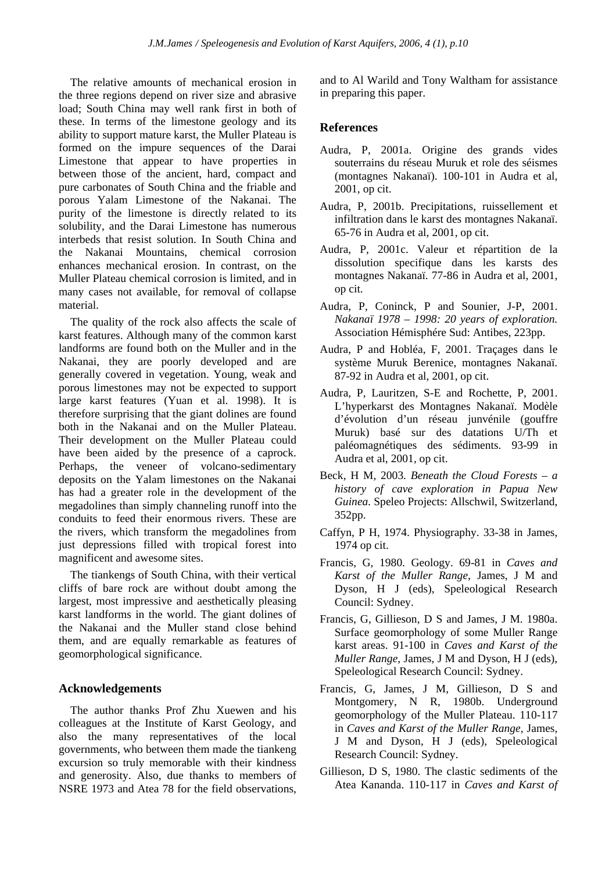The relative amounts of mechanical erosion in the three regions depend on river size and abrasive load; South China may well rank first in both of these. In terms of the limestone geology and its ability to support mature karst, the Muller Plateau is formed on the impure sequences of the Darai Limestone that appear to have properties in between those of the ancient, hard, compact and pure carbonates of South China and the friable and porous Yalam Limestone of the Nakanai. The purity of the limestone is directly related to its solubility, and the Darai Limestone has numerous interbeds that resist solution. In South China and the Nakanai Mountains, chemical corrosion enhances mechanical erosion. In contrast, on the Muller Plateau chemical corrosion is limited, and in many cases not available, for removal of collapse material.

The quality of the rock also affects the scale of karst features. Although many of the common karst landforms are found both on the Muller and in the Nakanai, they are poorly developed and are generally covered in vegetation. Young, weak and porous limestones may not be expected to support large karst features (Yuan et al. 1998). It is therefore surprising that the giant dolines are found both in the Nakanai and on the Muller Plateau. Their development on the Muller Plateau could have been aided by the presence of a caprock. Perhaps, the veneer of volcano-sedimentary deposits on the Yalam limestones on the Nakanai has had a greater role in the development of the megadolines than simply channeling runoff into the conduits to feed their enormous rivers. These are the rivers, which transform the megadolines from just depressions filled with tropical forest into magnificent and awesome sites.

The tiankengs of South China, with their vertical cliffs of bare rock are without doubt among the largest, most impressive and aesthetically pleasing karst landforms in the world. The giant dolines of the Nakanai and the Muller stand close behind them, and are equally remarkable as features of geomorphological significance.

## **Acknowledgements**

The author thanks Prof Zhu Xuewen and his colleagues at the Institute of Karst Geology, and also the many representatives of the local governments, who between them made the tiankeng excursion so truly memorable with their kindness and generosity. Also, due thanks to members of NSRE 1973 and Atea 78 for the field observations, and to Al Warild and Tony Waltham for assistance in preparing this paper.

## **References**

- Audra, P, 2001a. Origine des grands vides souterrains du réseau Muruk et role des séismes (montagnes Nakanaï). 100-101 in Audra et al, 2001, op cit.
- Audra, P, 2001b. Precipitations, ruissellement et infiltration dans le karst des montagnes Nakanaï. 65-76 in Audra et al, 2001, op cit.
- Audra, P, 2001c. Valeur et répartition de la dissolution specifique dans les karsts des montagnes Nakanaï. 77-86 in Audra et al, 2001, op cit.
- Audra, P, Coninck, P and Sounier, J-P, 2001. *Nakanaï 1978 – 1998: 20 years of exploration.*  Association Hémisphére Sud: Antibes, 223pp.
- Audra, P and Hobléa, F, 2001. Traçages dans le système Muruk Berenice, montagnes Nakanaï. 87-92 in Audra et al, 2001, op cit.
- Audra, P, Lauritzen, S-E and Rochette, P, 2001. L'hyperkarst des Montagnes Nakanaï. Modèle d'évolution d'un réseau junvénile (gouffre Muruk) basé sur des datations U/Th et paléomagnétiques des sédiments. 93-99 in Audra et al, 2001, op cit.
- Beck, H M, 2003. *Beneath the Cloud Forests a history of cave exploration in Papua New Guinea.* Speleo Projects: Allschwil, Switzerland, 352pp.
- Caffyn, P H, 1974. Physiography. 33-38 in James, 1974 op cit.
- Francis, G, 1980. Geology. 69-81 in *Caves and Karst of the Muller Range,* James, J M and Dyson, H J (eds), Speleological Research Council: Sydney.
- Francis, G, Gillieson, D S and James, J M. 1980a. Surface geomorphology of some Muller Range karst areas. 91-100 in *Caves and Karst of the Muller Range,* James, J M and Dyson, H J (eds), Speleological Research Council: Sydney.
- Francis, G, James, J M, Gillieson, D S and Montgomery, N R, 1980b. Underground geomorphology of the Muller Plateau. 110-117 in *Caves and Karst of the Muller Range,* James, J M and Dyson, H J (eds), Speleological Research Council: Sydney.
- Gillieson, D S, 1980. The clastic sediments of the Atea Kananda. 110-117 in *Caves and Karst of*